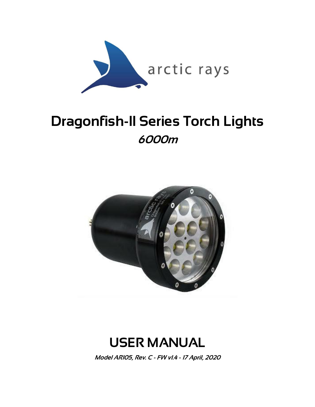

# Dragonfish-II Series Torch Lights 6000m



# USER MANUAL

Model AR105, Rev. C - FW v1.4 - 17 April, 2020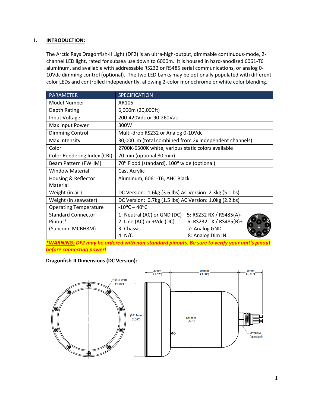# **I. INTRODUCTION:**

The Arctic Rays Dragonfish-II Light (DF2) is an ultra-high-output, dimmable continuous-mode, 2 channel LED light, rated for subsea use down to 6000m. It is housed in hard-anodized 6061-T6 aluminum, and available with addressable RS232 or RS485 serial communications, or analog 0- 10Vdc dimming control (optional). The two LED banks may be optionally populated with different color LEDs and controlled independently, allowing 2-color monochrome or white color blending.

| PARAMETER                    | <b>SPECIFICATION</b>                                    |                         |
|------------------------------|---------------------------------------------------------|-------------------------|
| Model Number                 | AR105                                                   |                         |
| Depth Rating                 | 6,000m (20,000ft)                                       |                         |
| Input Voltage                | 200-420Vdc or 90-260Vac                                 |                         |
| Max Input Power              | 300W                                                    |                         |
| Dimming Control              | Multi-drop RS232 or Analog 0-10Vdc                      |                         |
| Max Intensity                | 30,000 lm (total combined from 2x independent channels) |                         |
| Color                        | 2700K-6500K white, various static colors available      |                         |
| Color Rendering Index (CRI)  | 70 min (optional 80 min)                                |                         |
| Beam Pattern (FWHM)          | 70° Flood (standard), 100° wide (optional)              |                         |
| <b>Window Material</b>       | Cast Acrylic                                            |                         |
| Housing & Reflector          | Aluminum, 6061-T6, AHC Black                            |                         |
| Material                     |                                                         |                         |
| Weight (in air)              | DC Version: 1.6kg (3.6 lbs) AC Version: 2.3kg (5.1lbs)  |                         |
| Weight (in seawater)         | DC Version: 0.7kg (1.5 lbs) AC Version: 1.0kg (2.2lbs)  |                         |
| <b>Operating Temperature</b> | $-10^{\circ}$ C - 40°C                                  |                         |
| <b>Standard Connector</b>    | 1: Neutral (AC) or GND (DC)                             | 5: RS232 RX / RS485(A)- |
| Pinout*                      | 2: Line (AC) or +Vdc (DC)                               | 6: RS232 TX / RS485(B)+ |
| (Subconn MCBH8M)             | 3: Chassis                                              | 7: Analog GND           |
|                              | 4: N/C                                                  | 8: Analog Dim IN        |

*\*WARNING: DF2 may be ordered with non-standard pinouts. Be sure to verify your unit's pinout before connecting power!*

# **Dragonfish-II Dimensions (DC Version):**

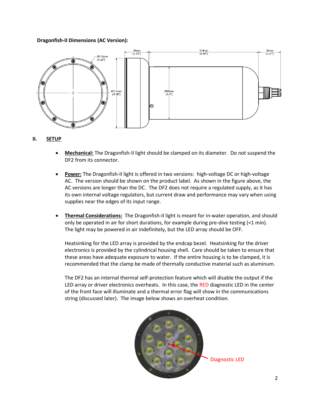# **Dragonfish-II Dimensions (AC Version):**



# **II. SETUP**

- **Mechanical:** The Dragonfish-II light should be clamped on its diameter. Do not suspend the DF2 from its connector.
- **Power:** The Dragonfish-II light is offered in two versions: high-voltage DC or high-voltage AC. The version should be shown on the product label. As shown in the figure above, the AC versions are longer than the DC. The DF2 does not require a regulated supply, as it has its own internal voltage regulators, but current draw and performance may vary when using supplies near the edges of its input range.
- **Thermal Considerations:** The Dragonfish-II light is meant for in-water operation, and should only be operated in air for short durations, for example during pre-dive testing (<1 min). The light may be powered in air indefinitely, but the LED array should be OFF.

Heatsinking for the LED array is provided by the endcap bezel. Heatsinking for the driver electronics is provided by the cylindrical housing shell. Care should be taken to ensure that these areas have adequate exposure to water. If the entire housing is to be clamped, it is recommended that the clamp be made of thermally conductive material such as aluminum.

The DF2 has an internal thermal self-protection feature which will disable the output if the LED array or driver electronics overheats. In this case, the RED diagnostic LED in the center of the front face will illuminate and a thermal error flag will show in the communications string (discussed later). The image below shows an overheat condition.

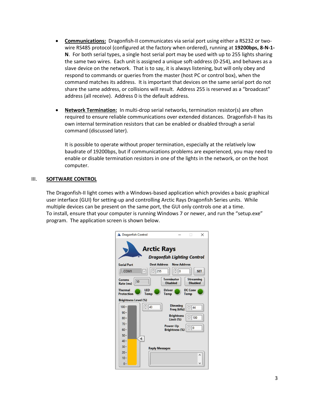- **Communications:** Dragonfish-II communicates via serial port using either a RS232 or twowire RS485 protocol (configured at the factory when ordered), running at **19200bps, 8-N-1- N**. For both serial types, a single host serial port may be used with up to 255 lights sharing the same two wires. Each unit is assigned a unique soft-address (0-254), and behaves as a slave device on the network. That is to say, it is always listening, but will only obey and respond to commands or queries from the master (host PC or control box), when the command matches its address. It is important that devices on the same serial port do not share the same address, or collisions will result. Address 255 is reserved as a "broadcast" address (all receive). Address 0 is the default address.
- **Network Termination:** In multi-drop serial networks, termination resistor(s) are often required to ensure reliable communications over extended distances. Dragonfish-II has its own internal termination resistors that can be enabled or disabled through a serial command (discussed later).

It is possible to operate without proper termination, especially at the relatively low baudrate of 19200bps, but if communications problems are experienced, you may need to enable or disable termination resistors in one of the lights in the network, or on the host computer.

# III. **SOFTWARE CONTROL**

The Dragonfish-II light comes with a Windows-based application which provides a basic graphical user interface (GUI) for setting-up and controlling Arctic Rays Dragonfish Series units. While multiple devices can be present on the same port, the GUI only controls one at a time. To install, ensure that your computer is running Windows 7 or newer, and run the "setup.exe" program. The application screen is shown below.

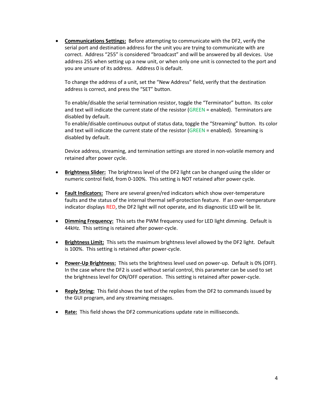**Communications Settings:** Before attempting to communicate with the DF2, verify the serial port and destination address for the unit you are trying to communicate with are correct. Address "255" is considered "broadcast" and will be answered by all devices. Use address 255 when setting up a new unit, or when only one unit is connected to the port and you are unsure of its address. Address 0 is default.

To change the address of a unit, set the "New Address" field, verify that the destination address is correct, and press the "SET" button.

To enable/disable the serial termination resistor, toggle the "Terminator" button. Its color and text will indicate the current state of the resistor (GREEN = enabled). Terminators are disabled by default.

To enable/disable continuous output of status data, toggle the "Streaming" button. Its color and text will indicate the current state of the resistor (GREEN = enabled). Streaming is disabled by default.

Device address, streaming, and termination settings are stored in non-volatile memory and retained after power cycle.

- **Brightness Slider:** The brightness level of the DF2 light can be changed using the slider or numeric control field, from 0-100%. This setting is NOT retained after power cycle.
- **Fault Indicators:** There are several green/red indicators which show over-temperature faults and the status of the internal thermal self-protection feature. If an over-temperature indicator displays RED, the DF2 light will not operate, and its diagnostic LED will be lit.
- **Dimming Frequency:** This sets the PWM frequency used for LED light dimming. Default is 44kHz. This setting is retained after power-cycle.
- **Brightness Limit:** This sets the maximum brightness level allowed by the DF2 light. Default is 100%. This setting is retained after power-cycle.
- **Power-Up Brightness:** This sets the brightness level used on power-up. Default is 0% (OFF). In the case where the DF2 is used without serial control, this parameter can be used to set the brightness level for ON/OFF operation. This setting is retained after power-cycle.
- **Reply String:** This field shows the text of the replies from the DF2 to commands issued by the GUI program, and any streaming messages.
- **Rate:** This field shows the DF2 communications update rate in milliseconds.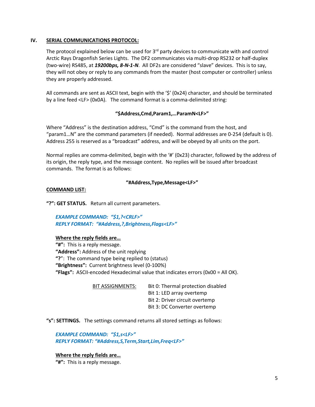# **IV. SERIAL COMMUNICATIONS PROTOCOL:**

The protocol explained below can be used for  $3<sup>rd</sup>$  party devices to communicate with and control Arctic Rays Dragonfish Series Lights. The DF2 communicates via multi-drop RS232 or half-duplex (two-wire) RS485, at *19200bps, 8-N-1-N*. All DF2s are considered "slave" devices. This is to say, they will not obey or reply to any commands from the master (host computer or controller) unless they are properly addressed.

All commands are sent as ASCII text, begin with the '\$' (0x24) character, and should be terminated by a line feed <LF> (0x0A). The command format is a comma-delimited string:

# **"\$Address,Cmd,Param1,…ParamN<LF>"**

Where "Address" is the destination address, "Cmd" is the command from the host, and "param1…N" are the command parameters (if needed). Normal addresses are 0-254 (default is 0). Address 255 is reserved as a "broadcast" address, and will be obeyed by all units on the port.

Normal replies are comma-delimited, begin with the '#' (0x23) character, followed by the address of its origin, the reply type, and the message content. No replies will be issued after broadcast commands. The format is as follows:

#### **"#Address,Type,Message<LF>"**

#### **COMMAND LIST:**

**"?": GET STATUS.** Return all current parameters.

*EXAMPLE COMMAND: "\$1,?<CRLF>" REPLY FORMAT: "#Address,?,Brightness,Flags<LF>"*

#### **Where the reply fields are…**

**"#":** This is a reply message. **"Address":** Address of the unit replying **"?**": The command type being replied to (status) **"Brightness":** Current brightness level (0-100%) **"Flags":** ASCII-encoded Hexadecimal value that indicates errors (0x00 = All OK).

> BIT ASSIGNMENTS: Bit 0: Thermal protection disabled Bit 1: LED array overtemp Bit 2: Driver circuit overtemp Bit 3: DC Converter overtemp

**"s": SETTINGS.** The settings command returns all stored settings as follows:

*EXAMPLE COMMAND: "\$1,s<LF>" REPLY FORMAT: "#Address,S,Term,Start,Lim,Freq<LF>"*

**Where the reply fields are…**

**"#":** This is a reply message.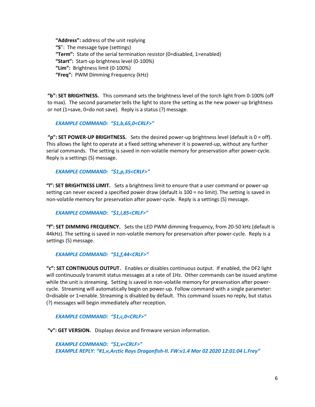**"Address":** address of the unit replying **"S**": The message type (settings) **"Term":** State of the serial termination resistor (0=disabled, 1=enabled) **"Start":** Start-up brightness level (0-100%) **"Lim":** Brightness limit (0-100%) **"Freq":** PWM Dimming Frequency (kHz)

**"b": SET BRIGHTNESS.** This command sets the brightness level of the torch light from 0-100% (off to max). The second parameter tells the light to store the setting as the new power-up brightness or not (1=save, 0=do not save). Reply is a status (?) message.

# *EXAMPLE COMMAND: "\$1,b,65,0<CRLF>"*

**"p": SET POWER-UP BRIGHTNESS.** Sets the desired power-up brightness level (default is 0 = off). This allows the light to operate at a fixed setting whenever it is powered-up, without any further serial commands. The setting is saved in non-volatile memory for preservation after power-cycle. Reply is a settings (S) message.

#### *EXAMPLE COMMAND: "\$1,p,35<CRLF>"*

**"l": SET BRIGHTNESS LIMIT.** Sets a brightness limit to ensure that a user command or power-up setting can never exceed a specified power draw (default is 100 = no limit). The setting is saved in non-volatile memory for preservation after power-cycle. Reply is a settings (S) message.

# *EXAMPLE COMMAND: "\$1,l,85<CRLF>"*

**"f": SET DIMMING FREQUENCY.** Sets the LED PWM dimming frequency, from 20-50 kHz (default is 44kHz). The setting is saved in non-volatile memory for preservation after power-cycle. Reply is a settings (S) message.

# *EXAMPLE COMMAND: "\$1,f,44<CRLF>"*

**"c": SET CONTINUOUS OUTPUT.** Enables or disables continuous output. If enabled, the DF2 light will continuously transmit status messages at a rate of 1Hz. Other commands can be issued anytime while the unit is streaming. Setting is saved in non-volatile memory for preservation after powercycle. Streaming will automatically begin on power-up. Follow command with a single parameter: 0=disable or 1=enable. Streaming is disabled by default. This command issues no reply, but status (?) messages will begin immediately after reception.

#### *EXAMPLE COMMAND: "\$1,c,0<CRLF>"*

**"v": GET VERSION.** Displays device and firmware version information.

*EXAMPLE COMMAND: "\$1,v<CRLF>" EXAMPLE REPLY: "#1,v,Arctic Rays Dragonfish-II. FW:v1.4 Mar 02 2020 12:01:04 L.Frey"*